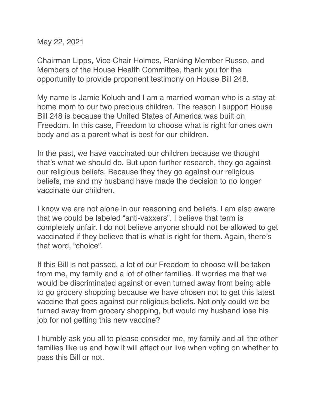May 22, 2021

Chairman Lipps, Vice Chair Holmes, Ranking Member Russo, and Members of the House Health Committee, thank you for the opportunity to provide proponent testimony on House Bill 248.

My name is Jamie Koluch and I am a married woman who is a stay at home mom to our two precious children. The reason I support House Bill 248 is because the United States of America was built on Freedom. In this case, Freedom to choose what is right for ones own body and as a parent what is best for our children.

In the past, we have vaccinated our children because we thought that's what we should do. But upon further research, they go against our religious beliefs. Because they they go against our religious beliefs, me and my husband have made the decision to no longer vaccinate our children.

I know we are not alone in our reasoning and beliefs. I am also aware that we could be labeled "anti-vaxxers". I believe that term is completely unfair. I do not believe anyone should not be allowed to get vaccinated if they believe that is what is right for them. Again, there's that word, "choice".

If this Bill is not passed, a lot of our Freedom to choose will be taken from me, my family and a lot of other families. It worries me that we would be discriminated against or even turned away from being able to go grocery shopping because we have chosen not to get this latest vaccine that goes against our religious beliefs. Not only could we be turned away from grocery shopping, but would my husband lose his job for not getting this new vaccine?

I humbly ask you all to please consider me, my family and all the other families like us and how it will affect our live when voting on whether to pass this Bill or not.